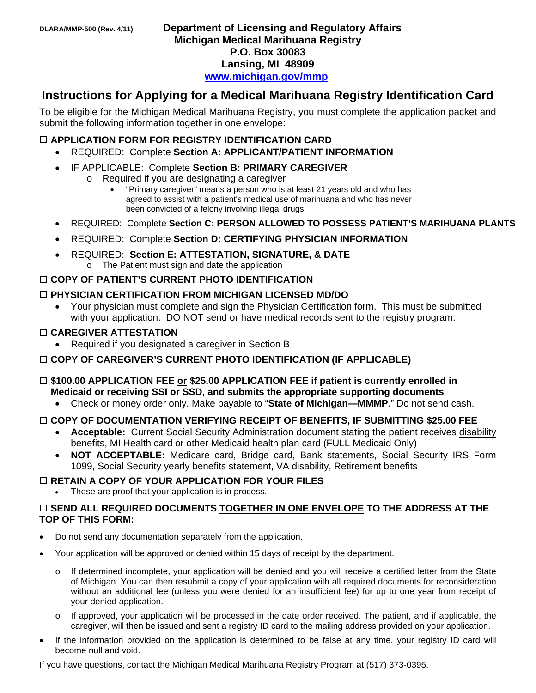# **Instructions for Applying for a Medical Marihuana Registry Identification Card**

To be eligible for the Michigan Medical Marihuana Registry, you must complete the application packet and submit the following information together in one envelope:

#### **APPLICATION FORM FOR REGISTRY IDENTIFICATION CARD**

- REQUIRED: Complete **Section A: APPLICANT/PATIENT INFORMATION**
- IF APPLICABLE: Complete **Section B: PRIMARY CAREGIVER**
	- o Required if you are designating a caregiver
		- "Primary caregiver" means a person who is at least 21 years old and who has agreed to assist with a patient's medical use of marihuana and who has never been convicted of a felony involving illegal drugs
- REQUIRED: Complete **Section C: PERSON ALLOWED TO POSSESS PATIENT'S MARIHUANA PLANTS**
- REQUIRED: Complete **Section D: CERTIFYING PHYSICIAN INFORMATION**
- REQUIRED: **Section E: ATTESTATION, SIGNATURE, & DATE** o The Patient must sign and date the application

#### **COPY OF PATIENT'S CURRENT PHOTO IDENTIFICATION**

#### **PHYSICIAN CERTIFICATION FROM MICHIGAN LICENSED MD/DO**

 Your physician must complete and sign the Physician Certification form. This must be submitted with your application. DO NOT send or have medical records sent to the registry program.

#### **CAREGIVER ATTESTATION**

• Required if you designated a caregiver in Section B

#### **COPY OF CAREGIVER'S CURRENT PHOTO IDENTIFICATION (IF APPLICABLE)**

### **\$100.00 APPLICATION FEE or \$25.00 APPLICATION FEE if patient is currently enrolled in Medicaid or receiving SSI or SSD, and submits the appropriate supporting documents**

Check or money order only. Make payable to "**State of Michigan—MMMP**." Do not send cash.

#### **COPY OF DOCUMENTATION VERIFYING RECEIPT OF BENEFITS, IF SUBMITTING \$25.00 FEE**

- Acceptable: Current Social Security Administration document stating the patient receives disability benefits, MI Health card or other Medicaid health plan card (FULL Medicaid Only)
- **NOT ACCEPTABLE:** Medicare card, Bridge card, Bank statements, Social Security IRS Form 1099, Social Security yearly benefits statement, VA disability, Retirement benefits

#### **RETAIN A COPY OF YOUR APPLICATION FOR YOUR FILES**

These are proof that your application is in process.

#### **SEND ALL REQUIRED DOCUMENTS TOGETHER IN ONE ENVELOPE TO THE ADDRESS AT THE TOP OF THIS FORM:**

- Do not send any documentation separately from the application.
- Your application will be approved or denied within 15 days of receipt by the department.
	- o If determined incomplete, your application will be denied and you will receive a certified letter from the State of Michigan. You can then resubmit a copy of your application with all required documents for reconsideration without an additional fee (unless you were denied for an insufficient fee) for up to one year from receipt of your denied application.
	- o If approved, your application will be processed in the date order received. The patient, and if applicable, the caregiver, will then be issued and sent a registry ID card to the mailing address provided on your application.
- If the information provided on the application is determined to be false at any time, your registry ID card will become null and void.

If you have questions, contact the Michigan Medical Marihuana Registry Program at (517) 373-0395.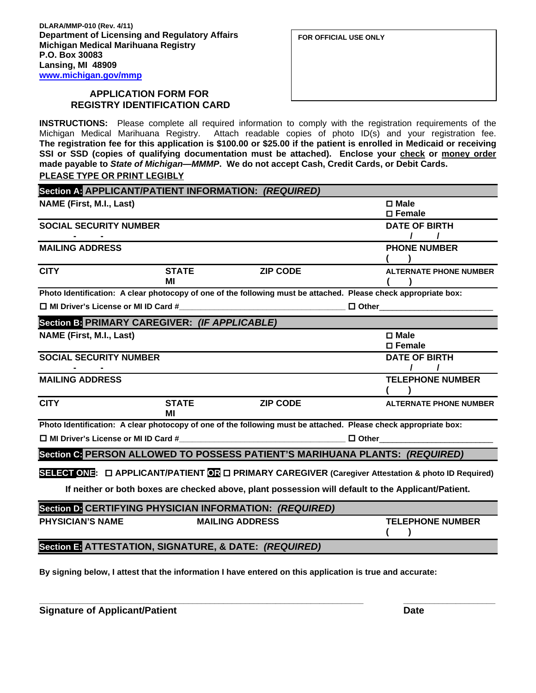#### **APPLICATION FORM FOR REGISTRY IDENTIFICATION CARD**

**INSTRUCTIONS:** Please complete all required information to comply with the registration requirements of the Michigan Medical Marihuana Registry. Attach readable copies of photo ID(s) and your registration fee. **The registration fee for this application is \$100.00 or \$25.00 if the patient is enrolled in Medicaid or receiving**  SSI or SSD (copies of qualifying documentation must be attached). Enclose your check or money order **made payable to** *State of Michigan—MMMP***. We do not accept Cash, Credit Cards, or Debit Cards. PLEASE TYPE OR PRINT LEGIBLY**

|                                                                                                                                                                     |              | Section A. APPLICANT/PATIENT INFORMATION: (REQUIRED)                                                                  |                                                                                                                 |  |  |  |
|---------------------------------------------------------------------------------------------------------------------------------------------------------------------|--------------|-----------------------------------------------------------------------------------------------------------------------|-----------------------------------------------------------------------------------------------------------------|--|--|--|
| <b>NAME (First, M.I., Last)</b>                                                                                                                                     |              |                                                                                                                       | $\square$ Male                                                                                                  |  |  |  |
|                                                                                                                                                                     |              |                                                                                                                       | $\square$ Female                                                                                                |  |  |  |
| <b>SOCIAL SECURITY NUMBER</b>                                                                                                                                       |              |                                                                                                                       | <b>DATE OF BIRTH</b>                                                                                            |  |  |  |
|                                                                                                                                                                     |              |                                                                                                                       |                                                                                                                 |  |  |  |
| <b>MAILING ADDRESS</b>                                                                                                                                              |              |                                                                                                                       | <b>PHONE NUMBER</b>                                                                                             |  |  |  |
|                                                                                                                                                                     |              |                                                                                                                       |                                                                                                                 |  |  |  |
| <b>CITY</b>                                                                                                                                                         | <b>STATE</b> | <b>ZIP CODE</b>                                                                                                       | <b>ALTERNATE PHONE NUMBER</b>                                                                                   |  |  |  |
|                                                                                                                                                                     | ΜI           |                                                                                                                       |                                                                                                                 |  |  |  |
|                                                                                                                                                                     |              |                                                                                                                       | Photo Identification: A clear photocopy of one of the following must be attached. Please check appropriate box: |  |  |  |
| $\Box$ MI Driver's License or MI ID Card #                                                                                                                          |              | <u> 1980 - Johann Barbara, martin amerikan basal dan berasal dalam basal dalam basal dalam basal dalam basal dala</u> | $\Box$ Other $\Box$                                                                                             |  |  |  |
| Section B: PRIMARY CAREGIVER: (IF APPLICABLE)                                                                                                                       |              |                                                                                                                       |                                                                                                                 |  |  |  |
| <b>NAME (First, M.I., Last)</b>                                                                                                                                     |              |                                                                                                                       | □ Male                                                                                                          |  |  |  |
|                                                                                                                                                                     |              |                                                                                                                       | $\square$ Female                                                                                                |  |  |  |
| <b>SOCIAL SECURITY NUMBER</b>                                                                                                                                       |              |                                                                                                                       | <b>DATE OF BIRTH</b>                                                                                            |  |  |  |
|                                                                                                                                                                     |              |                                                                                                                       |                                                                                                                 |  |  |  |
| <b>MAILING ADDRESS</b>                                                                                                                                              |              |                                                                                                                       | <b>TELEPHONE NUMBER</b>                                                                                         |  |  |  |
|                                                                                                                                                                     |              |                                                                                                                       |                                                                                                                 |  |  |  |
| <b>CITY</b>                                                                                                                                                         | <b>STATE</b> | <b>ZIP CODE</b>                                                                                                       | <b>ALTERNATE PHONE NUMBER</b>                                                                                   |  |  |  |
|                                                                                                                                                                     | MI           |                                                                                                                       |                                                                                                                 |  |  |  |
| Photo Identification: A clear photocopy of one of the following must be attached. Please check appropriate box:                                                     |              |                                                                                                                       |                                                                                                                 |  |  |  |
| <u> 1989 - Johann Barn, mars eta bainar eta industrial eta baina eta baina eta baina eta baina eta baina eta bain</u><br>$\Box$ MI Driver's License or MI ID Card # |              |                                                                                                                       | $\Box$ Other                                                                                                    |  |  |  |
| Section G PERSON ALLOWED TO POSSESS PATIENT'S MARIHUANA PLANTS: (REQUIRED)                                                                                          |              |                                                                                                                       |                                                                                                                 |  |  |  |
|                                                                                                                                                                     |              |                                                                                                                       |                                                                                                                 |  |  |  |
| SELECT ONE:  O APPLICANT/PATIENT OR  O PRIMARY CAREGIVER (Caregiver Attestation & photo ID Required)                                                                |              |                                                                                                                       |                                                                                                                 |  |  |  |
| If neither or both boxes are checked above, plant possession will default to the Applicant/Patient.                                                                 |              |                                                                                                                       |                                                                                                                 |  |  |  |
| Section D. CERTIFYING PHYSICIAN INFORMATION: (REQUIRED)                                                                                                             |              |                                                                                                                       |                                                                                                                 |  |  |  |
| <b>PHYSICIAN'S NAME</b>                                                                                                                                             |              | <b>MAILING ADDRESS</b>                                                                                                | <b>TELEPHONE NUMBER</b>                                                                                         |  |  |  |
|                                                                                                                                                                     |              |                                                                                                                       |                                                                                                                 |  |  |  |

**Section E: ATTESTATION, SIGNATURE, & DATE:** *(REQUIRED)*

**By signing below, I attest that the information I have entered on this application is true and accurate:** 

**\_\_\_\_\_\_\_\_\_\_\_\_\_\_\_\_\_\_\_\_\_\_\_\_\_\_\_\_\_\_\_\_\_\_\_\_\_\_\_\_\_\_\_\_\_\_\_\_\_\_\_\_\_\_\_\_\_\_\_\_\_\_\_\_\_\_\_\_\_\_\_\_\_\_ \_\_\_\_\_\_\_\_\_\_\_\_\_\_\_\_\_\_\_\_\_** 

**Signature of Applicant/Patient Date**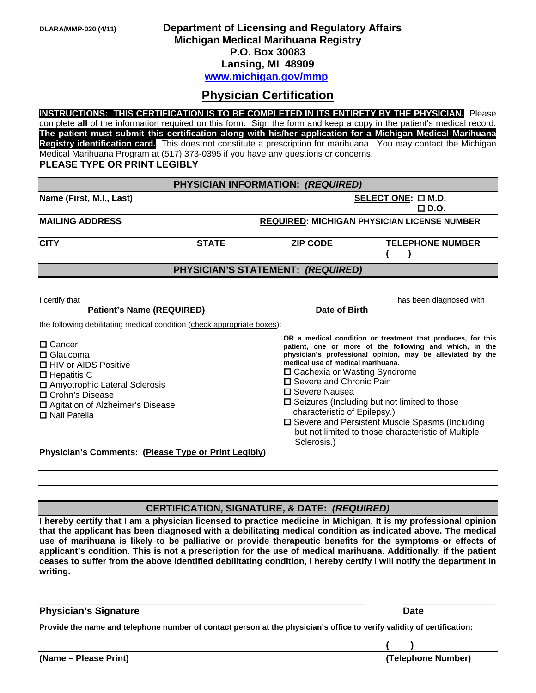## **DLARA/MMP-020 (4/11) Department of Licensing and Regulatory Affairs Michigan Medical Marihuana Registry P.O. Box 30083 Lansing, MI 48909 [www.michigan.gov/mmp](http://www.michigan.gov/mmp)**

## **Physician Certification**

**INSTRUCTIONS: THIS CERTIFICATION IS TO BE COMPLETED IN ITS ENTIRETY BY THE PHYSICIAN.** Please complete **all** of the information required on this form. Sign the form and keep a copy in the patient's medical record. **The patient must submit this certification along with his/her application for a Michigan Medical Marihuana Registry identification card.** This does not constitute a prescription for marihuana. You may contact the Michigan Medical Marihuana Program at (517) 373-0395 if you have any questions or concerns. **PLEASE TYPE OR PRINT LEGIBLY**

| PHYSICIAN INFORMATION: (REQUIRED)                                                                                                                                                                   |              |                                           |                                                                                                                                                                                                                                                                                                                                                                                                                                                                                                      |  |  |
|-----------------------------------------------------------------------------------------------------------------------------------------------------------------------------------------------------|--------------|-------------------------------------------|------------------------------------------------------------------------------------------------------------------------------------------------------------------------------------------------------------------------------------------------------------------------------------------------------------------------------------------------------------------------------------------------------------------------------------------------------------------------------------------------------|--|--|
| Name (First, M.I., Last)                                                                                                                                                                            |              | SELECT ONE: $\square$ M.D.<br>$\Box$ D.O. |                                                                                                                                                                                                                                                                                                                                                                                                                                                                                                      |  |  |
| <b>MAILING ADDRESS</b>                                                                                                                                                                              |              |                                           | <b>REQUIRED: MICHIGAN PHYSICIAN LICENSE NUMBER</b>                                                                                                                                                                                                                                                                                                                                                                                                                                                   |  |  |
| <b>CITY</b>                                                                                                                                                                                         | <b>STATE</b> | <b>ZIP CODE</b>                           | <b>TELEPHONE NUMBER</b>                                                                                                                                                                                                                                                                                                                                                                                                                                                                              |  |  |
| PHYSICIAN'S STATEMENT: (REQUIRED)                                                                                                                                                                   |              |                                           |                                                                                                                                                                                                                                                                                                                                                                                                                                                                                                      |  |  |
| I certify that<br><b>Patient's Name (REQUIRED)</b><br>the following debilitating medical condition (check appropriate boxes):                                                                       |              | Date of Birth                             | has been diagnosed with                                                                                                                                                                                                                                                                                                                                                                                                                                                                              |  |  |
| □ Cancer<br>$\square$ Glaucoma<br>□ HIV or AIDS Positive<br>$\Box$ Hepatitis C<br>□ Amyotrophic Lateral Sclerosis<br>□ Crohn's Disease<br>□ Agitation of Alzheimer's Disease<br>$\Box$ Nail Patella |              | □ Severe Nausea                           | OR a medical condition or treatment that produces, for this<br>patient, one or more of the following and which, in the<br>physician's professional opinion, may be alleviated by the<br>medical use of medical marihuana.<br>□ Cachexia or Wasting Syndrome<br>□ Severe and Chronic Pain<br>□ Seizures (Including but not limited to those<br>characteristic of Epilepsy.)<br>□ Severe and Persistent Muscle Spasms (Including<br>but not limited to those characteristic of Multiple<br>Sclerosis.) |  |  |
| Physician's Comments: (Please Type or Print Legibly)                                                                                                                                                |              |                                           |                                                                                                                                                                                                                                                                                                                                                                                                                                                                                                      |  |  |

## **CERTIFICATION, SIGNATURE, & DATE:** *(REQUIRED)*

**I hereby certify that I am a physician licensed to practice medicine in Michigan. It is my professional opinion that the applicant has been diagnosed with a debilitating medical condition as indicated above. The medical use of marihuana is likely to be palliative or provide therapeutic benefits for the symptoms or effects of applicant's condition. This is not a prescription for the use of medical marihuana. Additionally, if the patient ceases to suffer from the above identified debilitating condition, I hereby certify I will notify the department in writing.** 

**\_\_\_\_\_\_\_\_\_\_\_\_\_\_\_\_\_\_\_\_\_\_\_\_\_\_\_\_\_\_\_\_\_\_\_\_\_\_\_\_\_\_\_\_\_\_\_\_\_\_\_\_\_\_\_\_\_\_\_\_\_\_\_\_\_\_\_\_\_\_\_\_\_\_ \_\_\_\_\_\_\_\_\_\_\_\_\_\_\_\_\_\_\_\_\_**

#### **Physician's Signature Date** Date Date Date Date

**Provide the name and telephone number of contact person at the physician's office to verify validity of certification:** 

 **( )**